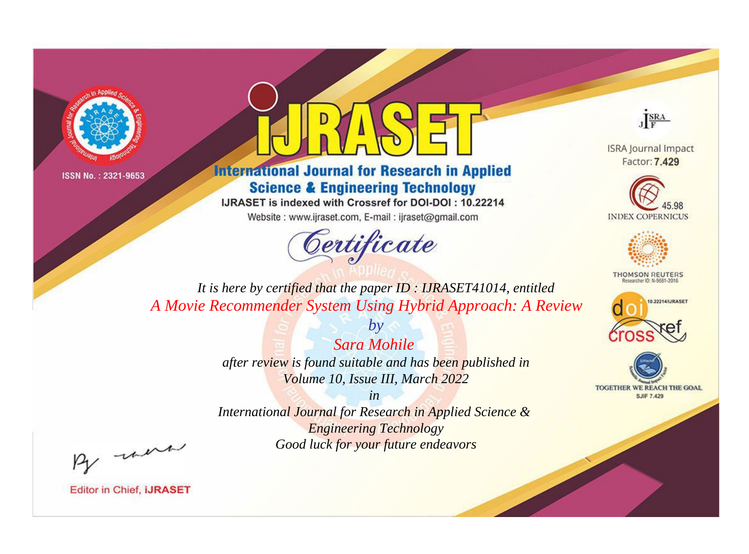



**International Journal for Research in Applied Science & Engineering Technology** 

IJRASET is indexed with Crossref for DOI-DOI: 10.22214

Website: www.ijraset.com, E-mail: ijraset@gmail.com



JERA

**ISRA Journal Impact** Factor: 7.429





**THOMSON REUTERS** 



TOGETHER WE REACH THE GOAL **SJIF 7.429** 

*It is here by certified that the paper ID : IJRASET41014, entitled A Movie Recommender System Using Hybrid Approach: A Review*

> *Sara Mohile after review is found suitable and has been published in*

*by*

*Volume 10, Issue III, March 2022*

*in* 

*International Journal for Research in Applied Science & Engineering Technology Good luck for your future endeavors*

By morn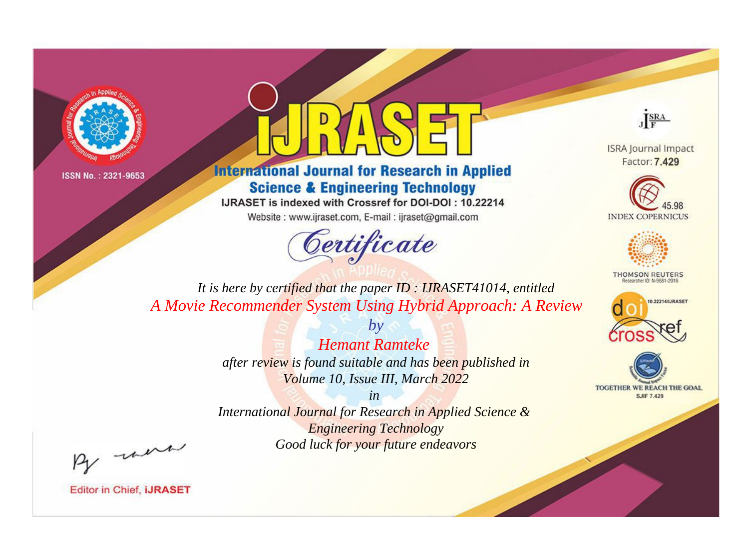



**International Journal for Research in Applied Science & Engineering Technology** 

IJRASET is indexed with Crossref for DOI-DOI: 10.22214

Website: www.ijraset.com, E-mail: ijraset@gmail.com



JERA

**ISRA Journal Impact** Factor: 7.429





**THOMSON REUTERS** 



TOGETHER WE REACH THE GOAL **SJIF 7.429** 

It is here by certified that the paper ID: IJRASET41014, entitled A Movie Recommender System Using Hybrid Approach: A Review

> **Hemant Ramteke** after review is found suitable and has been published in Volume 10, Issue III, March 2022

 $b\nu$ 

 $in$ International Journal for Research in Applied Science & **Engineering Technology** Good luck for your future endeavors

By morn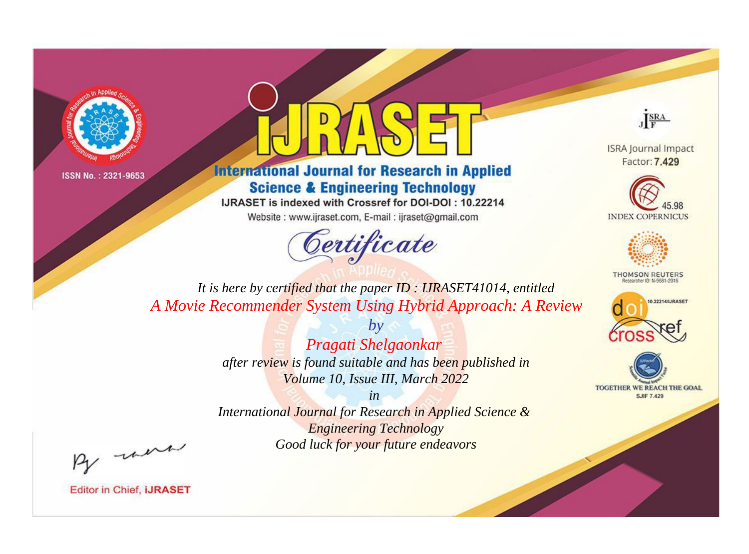



**International Journal for Research in Applied Science & Engineering Technology** 

IJRASET is indexed with Crossref for DOI-DOI: 10.22214

Website: www.ijraset.com, E-mail: ijraset@gmail.com



JERA

**ISRA Journal Impact** Factor: 7.429





**THOMSON REUTERS** 



TOGETHER WE REACH THE GOAL **SJIF 7.429** 

It is here by certified that the paper ID: IJRASET41014, entitled A Movie Recommender System Using Hybrid Approach: A Review

> $b\nu$ Pragati Shelgaonkar after review is found suitable and has been published in Volume 10, Issue III, March 2022

 $in$ International Journal for Research in Applied Science & **Engineering Technology** Good luck for your future endeavors

By morn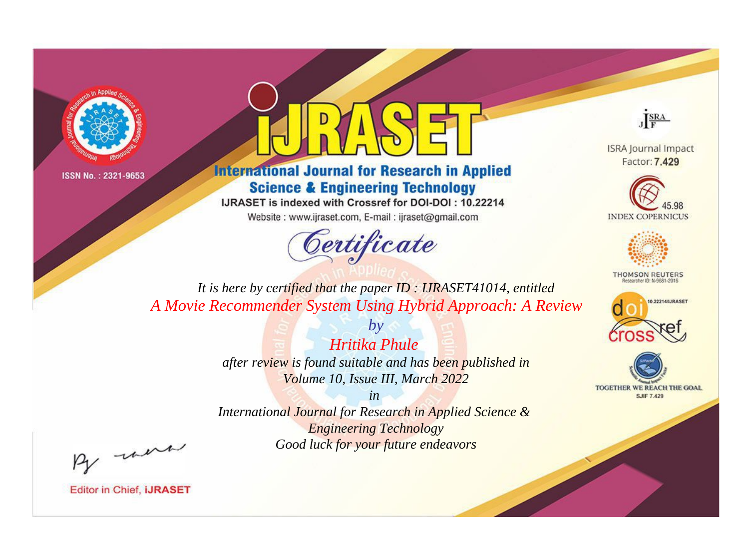



**International Journal for Research in Applied Science & Engineering Technology** 

IJRASET is indexed with Crossref for DOI-DOI: 10.22214

Website: www.ijraset.com, E-mail: ijraset@gmail.com



JERA

**ISRA Journal Impact** Factor: 7.429





**THOMSON REUTERS** 



TOGETHER WE REACH THE GOAL **SJIF 7.429** 

It is here by certified that the paper ID: IJRASET41014, entitled A Movie Recommender System Using Hybrid Approach: A Review

> **Hritika Phule** after review is found suitable and has been published in Volume 10, Issue III, March 2022

 $b\nu$ 

 $in$ International Journal for Research in Applied Science & **Engineering Technology** Good luck for your future endeavors

By morn